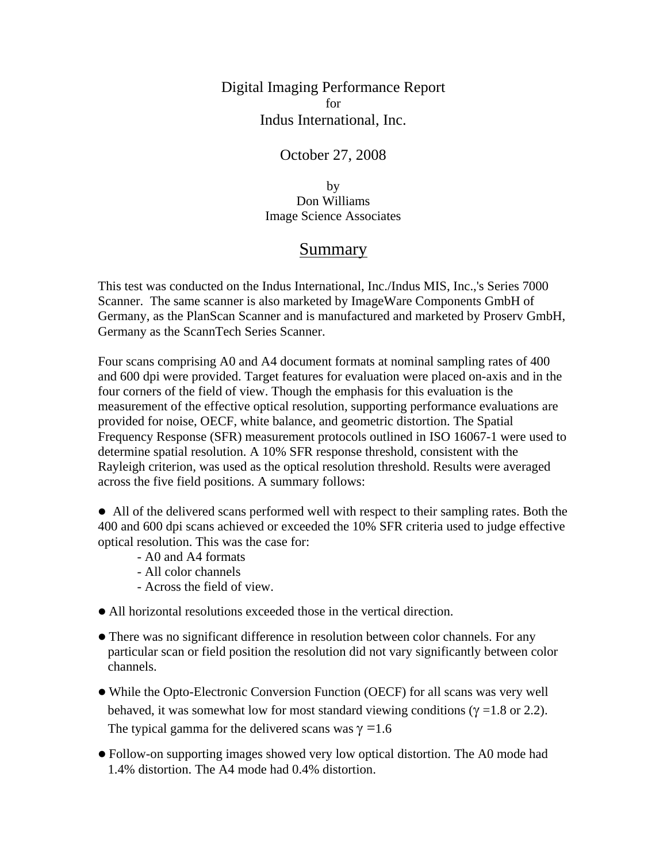Digital Imaging Performance Report for Indus International, Inc.

#### October 27, 2008

by Don Williams Image Science Associates

#### Summary

This test was conducted on the Indus International, Inc./Indus MIS, Inc.,'s Series 7000 Scanner. The same scanner is also marketed by ImageWare Components GmbH of Germany, as the PlanScan Scanner and is manufactured and marketed by Proserv GmbH, Germany as the ScannTech Series Scanner.

Four scans comprising A0 and A4 document formats at nominal sampling rates of 400 and 600 dpi were provided. Target features for evaluation were placed on-axis and in the four corners of the field of view. Though the emphasis for this evaluation is the measurement of the effective optical resolution, supporting performance evaluations are provided for noise, OECF, white balance, and geometric distortion. The Spatial Frequency Response (SFR) measurement protocols outlined in ISO 16067-1 were used to determine spatial resolution. A 10% SFR response threshold, consistent with the Rayleigh criterion, was used as the optical resolution threshold. Results were averaged across the five field positions. A summary follows:

• All of the delivered scans performed well with respect to their sampling rates. Both the 400 and 600 dpi scans achieved or exceeded the 10% SFR criteria used to judge effective optical resolution. This was the case for:

- A0 and A4 formats
- All color channels
- Across the field of view.
- All horizontal resolutions exceeded those in the vertical direction.
- There was no significant difference in resolution between color channels. For any particular scan or field position the resolution did not vary significantly between color channels.
- While the Opto-Electronic Conversion Function (OECF) for all scans was very well behaved, it was somewhat low for most standard viewing conditions ( $\gamma$  =1.8 or 2.2). The typical gamma for the delivered scans was  $\gamma = 1.6$
- Follow-on supporting images showed very low optical distortion. The A0 mode had 1.4% distortion. The A4 mode had 0.4% distortion.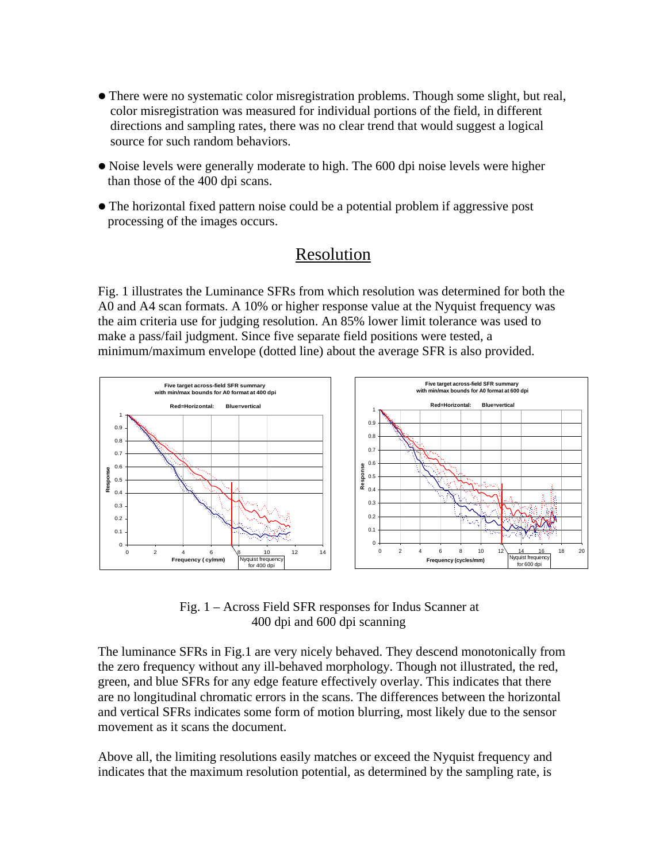- There were no systematic color misregistration problems. Though some slight, but real, color misregistration was measured for individual portions of the field, in different directions and sampling rates, there was no clear trend that would suggest a logical source for such random behaviors.
- Noise levels were generally moderate to high. The 600 dpi noise levels were higher than those of the 400 dpi scans.
- The horizontal fixed pattern noise could be a potential problem if aggressive post processing of the images occurs.

# Resolution

Fig. 1 illustrates the Luminance SFRs from which resolution was determined for both the A0 and A4 scan formats. A 10% or higher response value at the Nyquist frequency was the aim criteria use for judging resolution. An 85% lower limit tolerance was used to make a pass/fail judgment. Since five separate field positions were tested, a minimum/maximum envelope (dotted line) about the average SFR is also provided.



 Fig. 1 – Across Field SFR responses for Indus Scanner at 400 dpi and 600 dpi scanning

The luminance SFRs in Fig.1 are very nicely behaved. They descend monotonically from the zero frequency without any ill-behaved morphology. Though not illustrated, the red, green, and blue SFRs for any edge feature effectively overlay. This indicates that there are no longitudinal chromatic errors in the scans. The differences between the horizontal and vertical SFRs indicates some form of motion blurring, most likely due to the sensor movement as it scans the document.

Above all, the limiting resolutions easily matches or exceed the Nyquist frequency and indicates that the maximum resolution potential, as determined by the sampling rate, is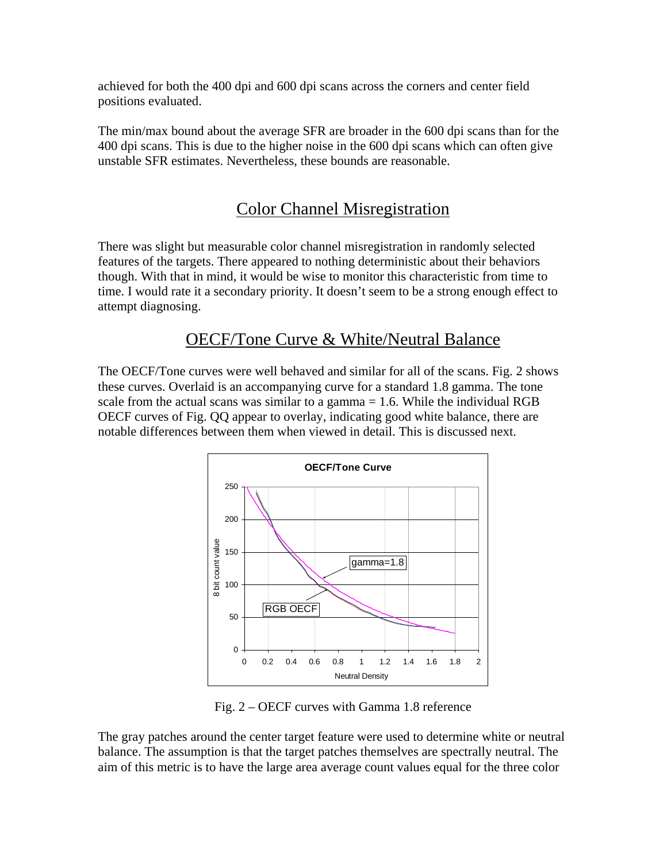achieved for both the 400 dpi and 600 dpi scans across the corners and center field positions evaluated.

The min/max bound about the average SFR are broader in the 600 dpi scans than for the 400 dpi scans. This is due to the higher noise in the 600 dpi scans which can often give unstable SFR estimates. Nevertheless, these bounds are reasonable.

# Color Channel Misregistration

There was slight but measurable color channel misregistration in randomly selected features of the targets. There appeared to nothing deterministic about their behaviors though. With that in mind, it would be wise to monitor this characteristic from time to time. I would rate it a secondary priority. It doesn't seem to be a strong enough effect to attempt diagnosing.

# OECF/Tone Curve & White/Neutral Balance

The OECF/Tone curves were well behaved and similar for all of the scans. Fig. 2 shows these curves. Overlaid is an accompanying curve for a standard 1.8 gamma. The tone scale from the actual scans was similar to a gamma  $= 1.6$ . While the individual RGB OECF curves of Fig. QQ appear to overlay, indicating good white balance, there are notable differences between them when viewed in detail. This is discussed next.



Fig. 2 – OECF curves with Gamma 1.8 reference

The gray patches around the center target feature were used to determine white or neutral balance. The assumption is that the target patches themselves are spectrally neutral. The aim of this metric is to have the large area average count values equal for the three color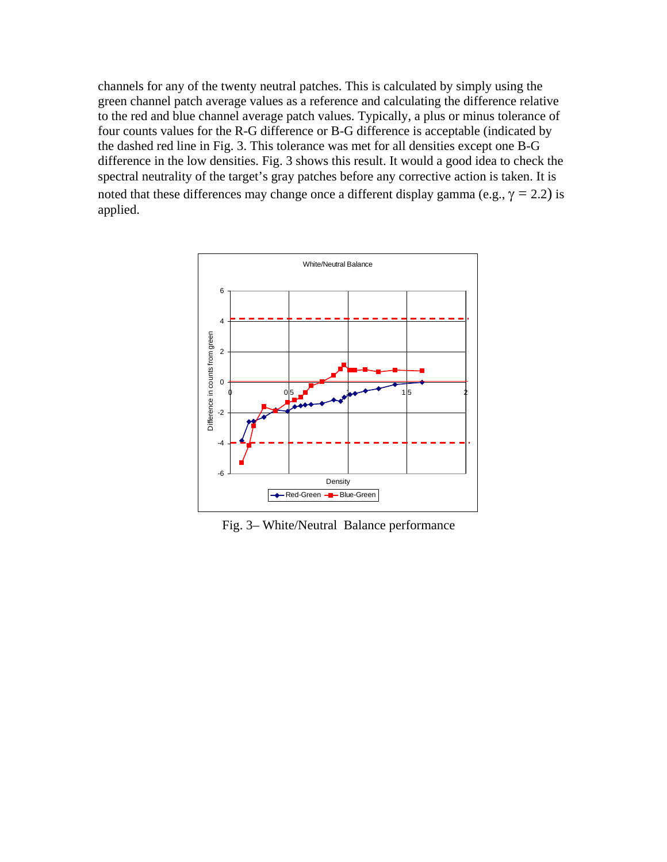channels for any of the twenty neutral patches. This is calculated by simply using the green channel patch average values as a reference and calculating the difference relative to the red and blue channel average patch values. Typically, a plus or minus tolerance of four counts values for the R-G difference or B-G difference is acceptable (indicated by the dashed red line in Fig. 3. This tolerance was met for all densities except one B-G difference in the low densities. Fig. 3 shows this result. It would a good idea to check the spectral neutrality of the target's gray patches before any corrective action is taken. It is noted that these differences may change once a different display gamma (e.g.,  $\gamma = 2.2$ ) is applied.



Fig. 3– White/Neutral Balance performance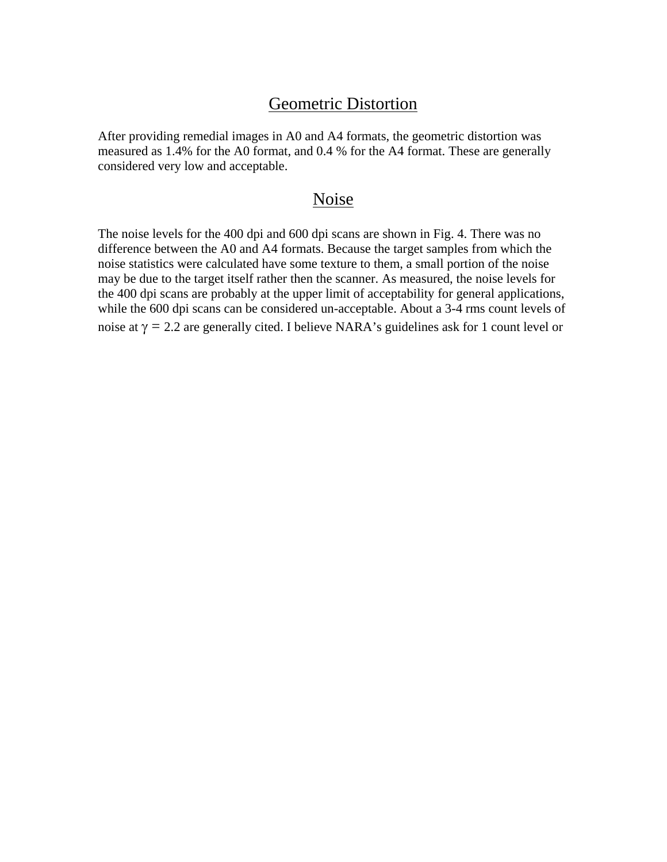### Geometric Distortion

After providing remedial images in A0 and A4 formats, the geometric distortion was measured as 1.4% for the A0 format, and 0.4 % for the A4 format. These are generally considered very low and acceptable.

#### Noise

The noise levels for the 400 dpi and 600 dpi scans are shown in Fig. 4. There was no difference between the A0 and A4 formats. Because the target samples from which the noise statistics were calculated have some texture to them, a small portion of the noise may be due to the target itself rather then the scanner. As measured, the noise levels for the 400 dpi scans are probably at the upper limit of acceptability for general applications, while the 600 dpi scans can be considered un-acceptable. About a 3-4 rms count levels of noise at  $\gamma = 2.2$  are generally cited. I believe NARA's guidelines ask for 1 count level or